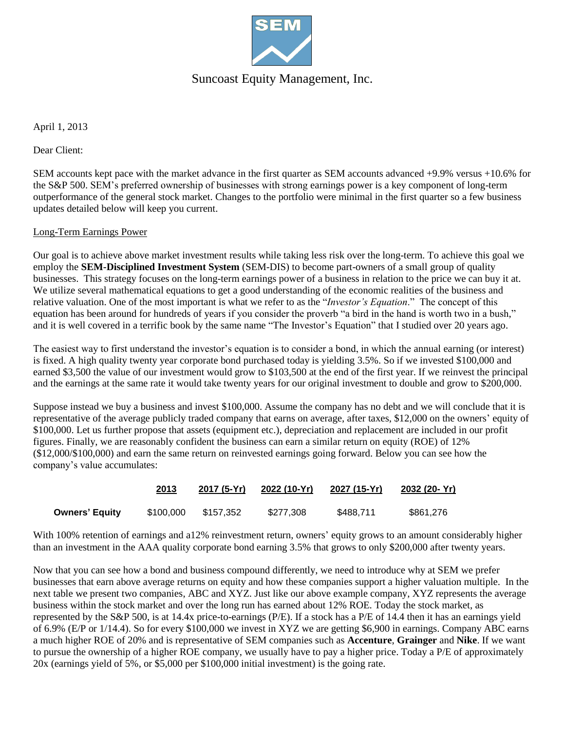

## Suncoast Equity Management, Inc.

April 1, 2013

Dear Client:

SEM accounts kept pace with the market advance in the first quarter as SEM accounts advanced +9.9% versus +10.6% for the S&P 500. SEM's preferred ownership of businesses with strong earnings power is a key component of long-term outperformance of the general stock market. Changes to the portfolio were minimal in the first quarter so a few business updates detailed below will keep you current.

#### Long-Term Earnings Power

Our goal is to achieve above market investment results while taking less risk over the long-term. To achieve this goal we employ the **SEM-Disciplined Investment System** (SEM-DIS) to become part-owners of a small group of quality businesses. This strategy focuses on the long-term earnings power of a business in relation to the price we can buy it at. We utilize several mathematical equations to get a good understanding of the economic realities of the business and relative valuation. One of the most important is what we refer to as the "*Investor's Equation*." The concept of this equation has been around for hundreds of years if you consider the proverb "a bird in the hand is worth two in a bush," and it is well covered in a terrific book by the same name "The Investor's Equation" that I studied over 20 years ago.

The easiest way to first understand the investor's equation is to consider a bond, in which the annual earning (or interest) is fixed. A high quality twenty year corporate bond purchased today is yielding 3.5%. So if we invested \$100,000 and earned \$3,500 the value of our investment would grow to \$103,500 at the end of the first year. If we reinvest the principal and the earnings at the same rate it would take twenty years for our original investment to double and grow to \$200,000.

Suppose instead we buy a business and invest \$100,000. Assume the company has no debt and we will conclude that it is representative of the average publicly traded company that earns on average, after taxes, \$12,000 on the owners' equity of \$100,000. Let us further propose that assets (equipment etc.), depreciation and replacement are included in our profit figures. Finally, we are reasonably confident the business can earn a similar return on equity (ROE) of 12% (\$12,000/\$100,000) and earn the same return on reinvested earnings going forward. Below you can see how the company's value accumulates:

|                | 2013      | 2017 (5-Yr) | 2022 (10-Yr) | 2027 (15-Yr) | 2032 (20- Yr) |
|----------------|-----------|-------------|--------------|--------------|---------------|
| Owners' Equity | \$100,000 | \$157.352   | \$277,308    | \$488.711    | \$861,276     |

With 100% retention of earnings and a12% reinvestment return, owners' equity grows to an amount considerably higher than an investment in the AAA quality corporate bond earning 3.5% that grows to only \$200,000 after twenty years.

Now that you can see how a bond and business compound differently, we need to introduce why at SEM we prefer businesses that earn above average returns on equity and how these companies support a higher valuation multiple. In the next table we present two companies, ABC and XYZ. Just like our above example company, XYZ represents the average business within the stock market and over the long run has earned about 12% ROE. Today the stock market, as represented by the S&P 500, is at 14.4x price-to-earnings (P/E). If a stock has a P/E of 14.4 then it has an earnings yield of 6.9% (E/P or 1/14.4). So for every \$100,000 we invest in XYZ we are getting \$6,900 in earnings. Company ABC earns a much higher ROE of 20% and is representative of SEM companies such as **Accenture**, **Grainger** and **Nike**. If we want to pursue the ownership of a higher ROE company, we usually have to pay a higher price. Today a P/E of approximately 20x (earnings yield of 5%, or \$5,000 per \$100,000 initial investment) is the going rate.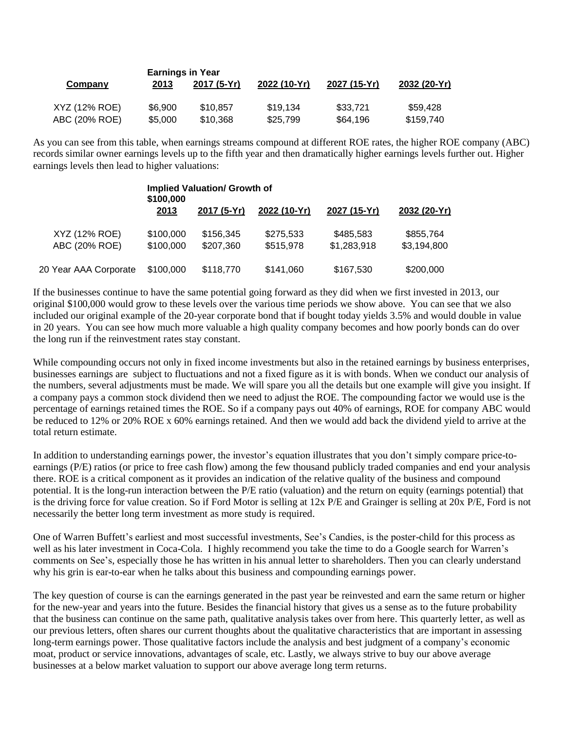|               | <b>Earnings in Year</b> |             |              |              |              |  |
|---------------|-------------------------|-------------|--------------|--------------|--------------|--|
| Company       | 2013                    | 2017 (5-Yr) | 2022 (10-Yr) | 2027 (15-Yr) | 2032 (20-Yr) |  |
| XYZ (12% ROE) | \$6.900                 | \$10.857    | \$19,134     | \$33,721     | \$59.428     |  |
| ABC (20% ROE) | \$5,000                 | \$10,368    | \$25,799     | \$64,196     | \$159,740    |  |

As you can see from this table, when earnings streams compound at different ROE rates, the higher ROE company (ABC) records similar owner earnings levels up to the fifth year and then dramatically higher earnings levels further out. Higher earnings levels then lead to higher valuations:

|                       | <b>Implied Valuation/ Growth of</b><br>\$100,000 |             |              |              |              |  |
|-----------------------|--------------------------------------------------|-------------|--------------|--------------|--------------|--|
|                       | 2013                                             | 2017 (5-Yr) | 2022 (10-Yr) | 2027 (15-Yr) | 2032 (20-Yr) |  |
| XYZ (12% ROE)         | \$100,000                                        | \$156,345   | \$275,533    | \$485,583    | \$855,764    |  |
| ABC (20% ROE)         | \$100,000                                        | \$207,360   | \$515,978    | \$1,283,918  | \$3,194,800  |  |
| 20 Year AAA Corporate | \$100,000                                        | \$118,770   | \$141,060    | \$167,530    | \$200,000    |  |

If the businesses continue to have the same potential going forward as they did when we first invested in 2013, our original \$100,000 would grow to these levels over the various time periods we show above. You can see that we also included our original example of the 20-year corporate bond that if bought today yields 3.5% and would double in value in 20 years. You can see how much more valuable a high quality company becomes and how poorly bonds can do over the long run if the reinvestment rates stay constant.

While compounding occurs not only in fixed income investments but also in the retained earnings by business enterprises, businesses earnings are subject to fluctuations and not a fixed figure as it is with bonds. When we conduct our analysis of the numbers, several adjustments must be made. We will spare you all the details but one example will give you insight. If a company pays a common stock dividend then we need to adjust the ROE. The compounding factor we would use is the percentage of earnings retained times the ROE. So if a company pays out 40% of earnings, ROE for company ABC would be reduced to 12% or 20% ROE x 60% earnings retained. And then we would add back the dividend yield to arrive at the total return estimate.

In addition to understanding earnings power, the investor's equation illustrates that you don't simply compare price-toearnings (P/E) ratios (or price to free cash flow) among the few thousand publicly traded companies and end your analysis there. ROE is a critical component as it provides an indication of the relative quality of the business and compound potential. It is the long-run interaction between the P/E ratio (valuation) and the return on equity (earnings potential) that is the driving force for value creation. So if Ford Motor is selling at 12x P/E and Grainger is selling at 20x P/E, Ford is not necessarily the better long term investment as more study is required.

One of Warren Buffett's earliest and most successful investments, See's Candies, is the poster-child for this process as well as his later investment in Coca-Cola. I highly recommend you take the time to do a Google search for Warren's comments on See's, especially those he has written in his annual letter to shareholders. Then you can clearly understand why his grin is ear-to-ear when he talks about this business and compounding earnings power.

The key question of course is can the earnings generated in the past year be reinvested and earn the same return or higher for the new-year and years into the future. Besides the financial history that gives us a sense as to the future probability that the business can continue on the same path, qualitative analysis takes over from here. This quarterly letter, as well as our previous letters, often shares our current thoughts about the qualitative characteristics that are important in assessing long-term earnings power. Those qualitative factors include the analysis and best judgment of a company's economic moat, product or service innovations, advantages of scale, etc. Lastly, we always strive to buy our above average businesses at a below market valuation to support our above average long term returns.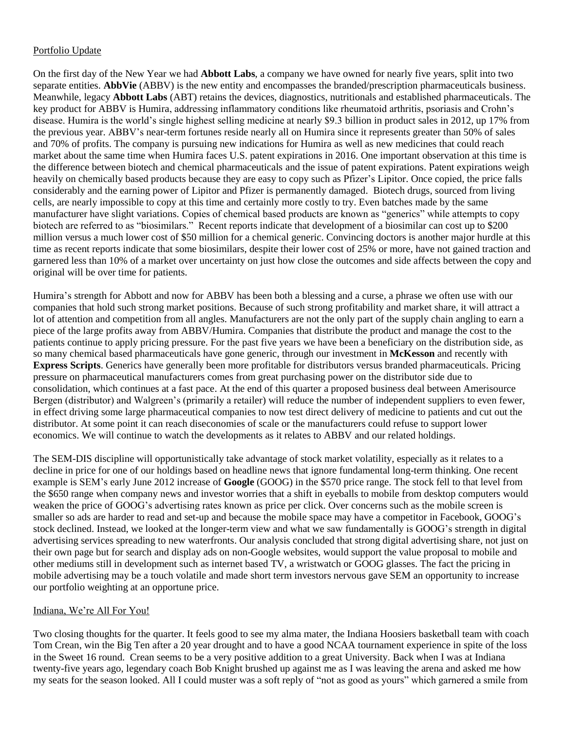### Portfolio Update

On the first day of the New Year we had **Abbott Labs**, a company we have owned for nearly five years, split into two separate entities. **AbbVie** (ABBV) is the new entity and encompasses the branded/prescription pharmaceuticals business. Meanwhile, legacy **Abbott Labs** (ABT) retains the devices, diagnostics, nutritionals and established pharmaceuticals. The key product for ABBV is Humira, addressing inflammatory conditions like rheumatoid arthritis, psoriasis and Crohn's disease. Humira is the world's single highest selling medicine at nearly \$9.3 billion in product sales in 2012, up 17% from the previous year. ABBV's near-term fortunes reside nearly all on Humira since it represents greater than 50% of sales and 70% of profits. The company is pursuing new indications for Humira as well as new medicines that could reach market about the same time when Humira faces U.S. patent expirations in 2016. One important observation at this time is the difference between biotech and chemical pharmaceuticals and the issue of patent expirations. Patent expirations weigh heavily on chemically based products because they are easy to copy such as Pfizer's Lipitor. Once copied, the price falls considerably and the earning power of Lipitor and Pfizer is permanently damaged. Biotech drugs, sourced from living cells, are nearly impossible to copy at this time and certainly more costly to try. Even batches made by the same manufacturer have slight variations. Copies of chemical based products are known as "generics" while attempts to copy biotech are referred to as "biosimilars." Recent reports indicate that development of a biosimilar can cost up to \$200 million versus a much lower cost of \$50 million for a chemical generic. Convincing doctors is another major hurdle at this time as recent reports indicate that some biosimilars, despite their lower cost of 25% or more, have not gained traction and garnered less than 10% of a market over uncertainty on just how close the outcomes and side affects between the copy and original will be over time for patients.

Humira's strength for Abbott and now for ABBV has been both a blessing and a curse, a phrase we often use with our companies that hold such strong market positions. Because of such strong profitability and market share, it will attract a lot of attention and competition from all angles. Manufacturers are not the only part of the supply chain angling to earn a piece of the large profits away from ABBV/Humira. Companies that distribute the product and manage the cost to the patients continue to apply pricing pressure. For the past five years we have been a beneficiary on the distribution side, as so many chemical based pharmaceuticals have gone generic, through our investment in **McKesson** and recently with **Express Scripts**. Generics have generally been more profitable for distributors versus branded pharmaceuticals. Pricing pressure on pharmaceutical manufacturers comes from great purchasing power on the distributor side due to consolidation, which continues at a fast pace. At the end of this quarter a proposed business deal between Amerisource Bergen (distributor) and Walgreen's (primarily a retailer) will reduce the number of independent suppliers to even fewer, in effect driving some large pharmaceutical companies to now test direct delivery of medicine to patients and cut out the distributor. At some point it can reach diseconomies of scale or the manufacturers could refuse to support lower economics. We will continue to watch the developments as it relates to ABBV and our related holdings.

The SEM-DIS discipline will opportunistically take advantage of stock market volatility, especially as it relates to a decline in price for one of our holdings based on headline news that ignore fundamental long-term thinking. One recent example is SEM's early June 2012 increase of **Google** (GOOG) in the \$570 price range. The stock fell to that level from the \$650 range when company news and investor worries that a shift in eyeballs to mobile from desktop computers would weaken the price of GOOG's advertising rates known as price per click. Over concerns such as the mobile screen is smaller so ads are harder to read and set-up and because the mobile space may have a competitor in Facebook, GOOG's stock declined. Instead, we looked at the longer-term view and what we saw fundamentally is GOOG's strength in digital advertising services spreading to new waterfronts. Our analysis concluded that strong digital advertising share, not just on their own page but for search and display ads on non-Google websites, would support the value proposal to mobile and other mediums still in development such as internet based TV, a wristwatch or GOOG glasses. The fact the pricing in mobile advertising may be a touch volatile and made short term investors nervous gave SEM an opportunity to increase our portfolio weighting at an opportune price.

### Indiana, We're All For You!

Two closing thoughts for the quarter. It feels good to see my alma mater, the Indiana Hoosiers basketball team with coach Tom Crean, win the Big Ten after a 20 year drought and to have a good NCAA tournament experience in spite of the loss in the Sweet 16 round. Crean seems to be a very positive addition to a great University. Back when I was at Indiana twenty-five years ago, legendary coach Bob Knight brushed up against me as I was leaving the arena and asked me how my seats for the season looked. All I could muster was a soft reply of "not as good as yours" which garnered a smile from